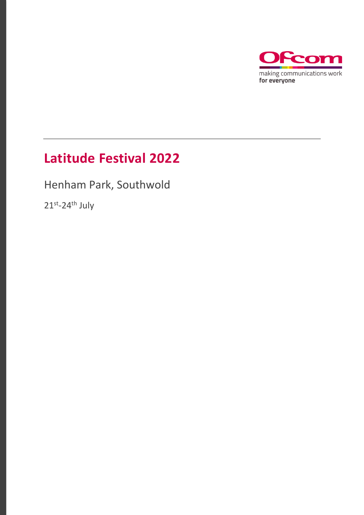

### **Latitude Festival 2022**

Henham Park, Southwold

21<sup>st</sup>-24<sup>th</sup> July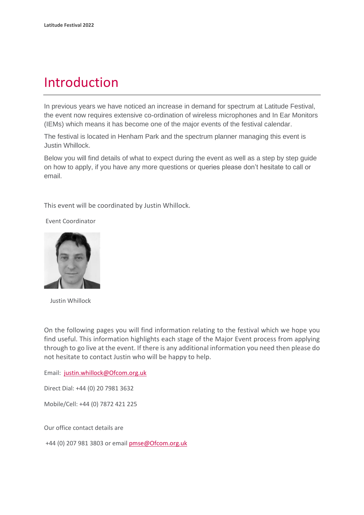### Introduction

In previous years we have noticed an increase in demand for spectrum at Latitude Festival, the event now requires extensive co-ordination of wireless microphones and In Ear Monitors (IEMs) which means it has become one of the major events of the festival calendar.

The festival is located in Henham Park and the spectrum planner managing this event is Justin Whillock.

Below you will find details of what to expect during the event as well as a step by step guide on how to apply, if you have any more questions or queries please don't hesitate to call or email.

This event will be coordinated by Justin Whillock.

Event Coordinator



Justin Whillock

On the following pages you will find information relating to the festival which we hope you find useful. This information highlights each stage of the Major Event process from applying through to go live at the event. If there is any additional information you need then please do not hesitate to contact Justin who will be happy to help.

Email: [justin.whillock@Ofcom.org.uk](mailto:justin.whillock@Ofcom.org.uk)

Direct Dial: +44 (0) 20 7981 3632

Mobile/Cell: +44 (0) 7872 421 225

Our office contact details are

+44 (0) 207 981 3803 or emai[l pmse@Ofcom.org.uk](mailto:pmse@arqiva.com)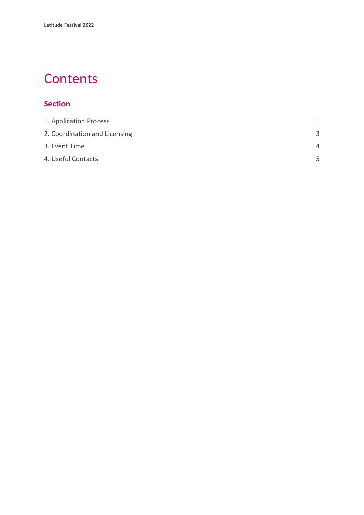### **Contents**

#### **Section**

| 1. Application Process        | 1        |
|-------------------------------|----------|
| 2. Coordination and Licensing | 3        |
| 3. Event Time                 | $\Delta$ |
| 4. Useful Contacts            | 5        |
|                               |          |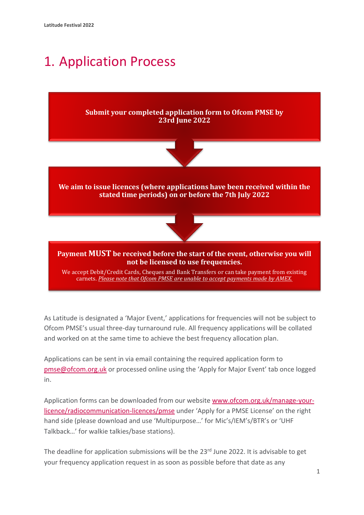## <span id="page-3-0"></span>1. Application Process



As Latitude is designated a 'Major Event,' applications for frequencies will not be subject to Ofcom PMSE's usual three-day turnaround rule. All frequency applications will be collated and worked on at the same time to achieve the best frequency allocation plan.

Applications can be sent in via email containing the required application form to [pmse@ofcom.org.uk](mailto:pmse@ofcom.org.uk) or processed online using the 'Apply for Major Event' tab once logged in.

Application forms can be downloaded from our website [www.ofcom.org.uk/manage-your](http://www.ofcom.org.uk/manage-your-licence/radiocommunication-licences/pmse)[licence/radiocommunication-licences/pmse](http://www.ofcom.org.uk/manage-your-licence/radiocommunication-licences/pmse) under 'Apply for a PMSE License' on the right hand side (please download and use 'Multipurpose…' for Mic's/IEM's/BTR's or 'UHF Talkback…' for walkie talkies/base stations).

The deadline for application submissions will be the 23<sup>rd</sup> June 2022. It is advisable to get your frequency application request in as soon as possible before that date as any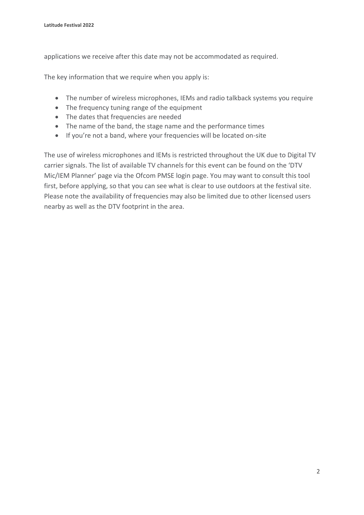applications we receive after this date may not be accommodated as required.

The key information that we require when you apply is:

- The number of wireless microphones, IEMs and radio talkback systems you require
- The frequency tuning range of the equipment
- The dates that frequencies are needed
- The name of the band, the stage name and the performance times
- If you're not a band, where your frequencies will be located on-site

The use of wireless microphones and IEMs is restricted throughout the UK due to Digital TV carrier signals. The list of available TV channels for this event can be found on the 'DTV Mic/IEM Planner' page via the Ofcom PMSE login page. You may want to consult this tool first, before applying, so that you can see what is clear to use outdoors at the festival site. Please note the availability of frequencies may also be limited due to other licensed users nearby as well as the DTV footprint in the area.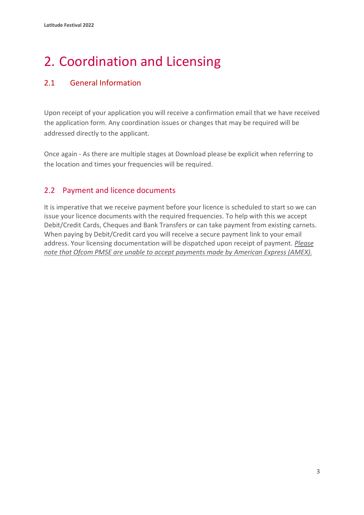# <span id="page-5-0"></span>2. Coordination and Licensing

#### 2.1 General Information

Upon receipt of your application you will receive a confirmation email that we have received the application form. Any coordination issues or changes that may be required will be addressed directly to the applicant.

Once again - As there are multiple stages at Download please be explicit when referring to the location and times your frequencies will be required.

#### 2.2 Payment and licence documents

It is imperative that we receive payment before your licence is scheduled to start so we can issue your licence documents with the required frequencies. To help with this we accept Debit/Credit Cards, Cheques and Bank Transfers or can take payment from existing carnets. When paying by Debit/Credit card you will receive a secure payment link to your email address. Your licensing documentation will be dispatched upon receipt of payment. *Please note that Ofcom PMSE are unable to accept payments made by American Express (AMEX).*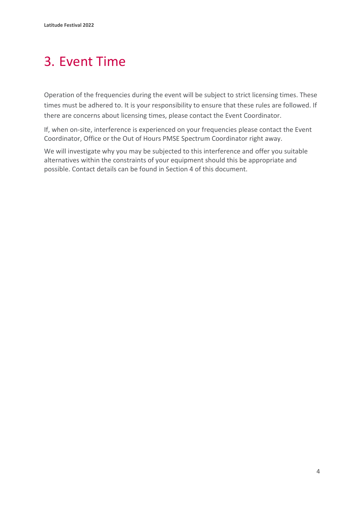## <span id="page-6-0"></span>3. Event Time

Operation of the frequencies during the event will be subject to strict licensing times. These times must be adhered to. It is your responsibility to ensure that these rules are followed. If there are concerns about licensing times, please contact the Event Coordinator.

If, when on-site, interference is experienced on your frequencies please contact the Event Coordinator, Office or the Out of Hours PMSE Spectrum Coordinator right away.

We will investigate why you may be subjected to this interference and offer you suitable alternatives within the constraints of your equipment should this be appropriate and possible. Contact details can be found in Section 4 of this document.